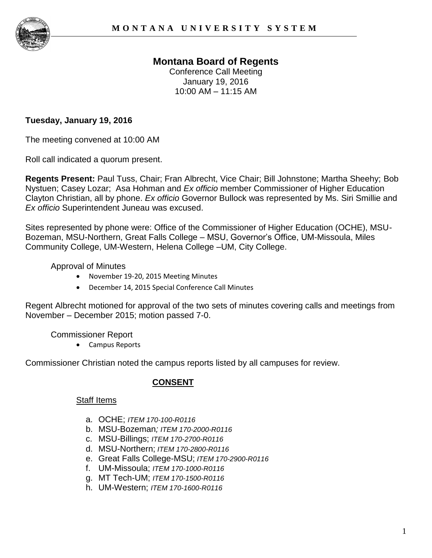

# **Montana Board of Regents**

Conference Call Meeting January 19, 2016 10:00 AM – 11:15 AM

## **Tuesday, January 19, 2016**

The meeting convened at 10:00 AM

Roll call indicated a quorum present.

**Regents Present:** Paul Tuss, Chair; Fran Albrecht, Vice Chair; Bill Johnstone; Martha Sheehy; Bob Nystuen; Casey Lozar; Asa Hohman and *Ex officio* member Commissioner of Higher Education Clayton Christian, all by phone. *Ex officio* Governor Bullock was represented by Ms. Siri Smillie and *Ex officio* Superintendent Juneau was excused.

Sites represented by phone were: Office of the Commissioner of Higher Education (OCHE), MSU-Bozeman, MSU-Northern, Great Falls College – MSU, Governor's Office, UM-Missoula, Miles Community College, UM-Western, Helena College –UM, City College.

Approval of Minutes

- November 19-20, 2015 Meeting Minutes
- December 14, 2015 Special Conference Call Minutes

Regent Albrecht motioned for approval of the two sets of minutes covering calls and meetings from November – December 2015; motion passed 7-0.

Commissioner Report

Campus Reports

Commissioner Christian noted the campus reports listed by all campuses for review.

## **CONSENT**

#### Staff Items

- a. OCHE; *ITEM 170-100-R0116*
- b. MSU-Bozeman*; ITEM 170-2000-R0116*
- c. MSU*-*Billings; *ITEM 170-2700-R0116*
- d. MSU-Northern; *ITEM 170-2800-R0116*
- e. Great Falls College-MSU; *ITEM 170-2900-R0116*
- f. UM-Missoula; *ITEM 170-1000-R0116*
- g. MT Tech-UM; *ITEM 170-1500-R0116*
- h. UM-Western; *ITEM 170-1600-R0116*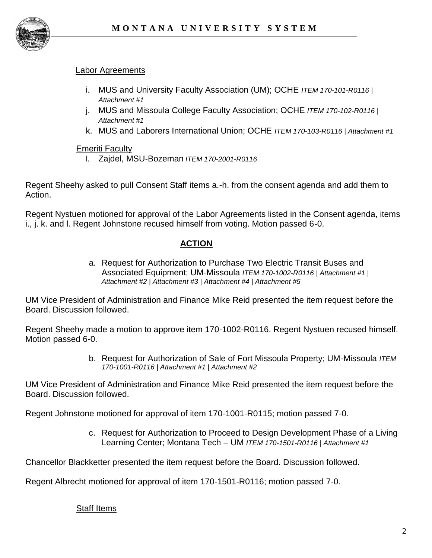

### Labor Agreements

- i. MUS and University Faculty Association (UM); OCHE *ITEM 170-101-R0116* | *Attachment #1*
- j. MUS and Missoula College Faculty Association; OCHE *ITEM 170-102-R0116* | *Attachment #1*
- k. MUS and Laborers International Union; OCHE *ITEM 170-103-R0116* | *Attachment #1*

### Emeriti Faculty

l. Zajdel, MSU-Bozeman *ITEM 170-2001-R0116*

Regent Sheehy asked to pull Consent Staff items a.-h. from the consent agenda and add them to Action.

Regent Nystuen motioned for approval of the Labor Agreements listed in the Consent agenda, items i., j. k. and l. Regent Johnstone recused himself from voting. Motion passed 6-0.

# **ACTION**

a. Request for Authorization to Purchase Two Electric Transit Buses and Associated Equipment; UM-Missoula *ITEM 170-1002-R0116 | Attachment #1 | Attachment #2 | Attachment #3 | Attachment #4 | Attachment #5*

UM Vice President of Administration and Finance Mike Reid presented the item request before the Board. Discussion followed.

Regent Sheehy made a motion to approve item 170-1002-R0116. Regent Nystuen recused himself. Motion passed 6-0.

> b. Request for Authorization of Sale of Fort Missoula Property; UM-Missoula *ITEM 170-1001-R0116 | Attachment #1 | Attachment #2*

UM Vice President of Administration and Finance Mike Reid presented the item request before the Board. Discussion followed.

Regent Johnstone motioned for approval of item 170-1001-R0115; motion passed 7-0.

c. Request for Authorization to Proceed to Design Development Phase of a Living Learning Center; Montana Tech – UM *ITEM 170-1501-R0116 | Attachment #1* 

Chancellor Blackketter presented the item request before the Board. Discussion followed.

Regent Albrecht motioned for approval of item 170-1501-R0116; motion passed 7-0.

Staff Items